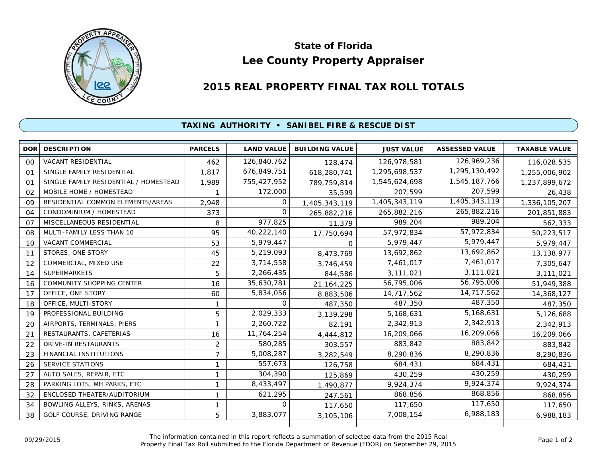

## **Lee County Property Appraiser State of Florida**

## **2015 REAL PROPERTY FINAL TAX ROLL TOTALS**

## **TAXING AUTHORITY • SANIBEL FIRE & RESCUE DIST**

| DOR <sup>1</sup> | <b>DESCRIPTION</b>                    | <b>PARCELS</b> | <b>LAND VALUE</b> | <b>BUILDING VALUE</b> | <b>JUST VALUE</b> | <b>ASSESSED VALUE</b> | <b>TAXABLE VALUE</b> |
|------------------|---------------------------------------|----------------|-------------------|-----------------------|-------------------|-----------------------|----------------------|
| 00               | <b>VACANT RESIDENTIAL</b>             | 462            | 126,840,762       | 128,474               | 126,978,581       | 126,969,236           | 116,028,535          |
| 01               | SINGLE FAMILY RESIDENTIAL             | 1.817          | 676,849,751       | 618,280,741           | 1,295,698,537     | 1,295,130,492         | 1,255,006,902        |
| $^{\circ}$       | SINGLE FAMILY RESIDENTIAL / HOMESTEAD | 1,989          | 755,427,952       | 789,759,814           | 1,545,624,698     | 1,545,187,766         | 1,237,899,672        |
| 02               | MOBILE HOME / HOMESTEAD               |                | 172,000           | 35,599                | 207,599           | 207,599               | 26,438               |
| 09               | RESIDENTIAL COMMON ELEMENTS/AREAS     | 2,948          | $\Omega$          | 1,405,343,119         | 1,405,343,119     | 1,405,343,119         | 1,336,105,207        |
| 04               | CONDOMINIUM / HOMESTEAD               | 373            | 0                 | 265,882,216           | 265,882,216       | 265,882,216           | 201,851,883          |
| 07               | MISCELLANEOUS RESIDENTIAL             | 8              | 977,825           | 11,379                | 989.204           | 989,204               | 562,333              |
| 08               | MULTI-FAMILY LESS THAN 10             | 95             | 40,222,140        | 17,750,694            | 57,972,834        | 57,972,834            | 50,223,517           |
| 10               | VACANT COMMERCIAL                     | 53             | 5,979,447         | $\Omega$              | 5,979,447         | 5,979,447             | 5,979,447            |
| 11               | STORES, ONE STORY                     | 45             | 5,219,093         | 8,473,769             | 13,692,862        | 13,692,862            | 13,138,977           |
| 12               | COMMERCIAL, MIXED USE                 | 22             | 3,714,558         | 3,746,459             | 7,461,017         | 7,461,017             | 7,305,647            |
| 14               | <b>SUPERMARKETS</b>                   | 5              | 2,266,435         | 844,586               | 3,111,021         | 3,111,021             | 3,111,021            |
| 16               | <b>COMMUNITY SHOPPING CENTER</b>      | 16             | 35,630,781        | 21, 164, 225          | 56,795,006        | 56,795,006            | 51,949,388           |
| 17               | OFFICE, ONE STORY                     | 60             | 5,834,056         | 8,883,506             | 14,717,562        | 14,717,562            | 14,368,127           |
| 18               | OFFICE, MULTI-STORY                   |                | 0                 | 487,350               | 487,350           | 487,350               | 487,350              |
| 19               | PROFESSIONAL BUILDING                 | 5              | 2,029,333         | 3,139,298             | 5,168,631         | 5,168,631             | 5,126,688            |
| 20               | AIRPORTS, TERMINALS, PIERS            |                | 2,260,722         | 82,191                | 2,342,913         | 2,342,913             | 2,342,913            |
| 21               | RESTAURANTS, CAFETERIAS               | 16             | 11,764,254        | 4,444,812             | 16,209,066        | 16,209,066            | 16,209,066           |
| 22               | <b>DRIVE-IN RESTAURANTS</b>           | 2              | 580,285           | 303,557               | 883,842           | 883,842               | 883,842              |
| 23               | <b>FINANCIAL INSTITUTIONS</b>         | $\overline{7}$ | 5,008,287         | 3,282,549             | 8,290,836         | 8,290,836             | 8,290,836            |
| 26               | <b>SERVICE STATIONS</b>               | 1              | 557,673           | 126,758               | 684,431           | 684,431               | 684,431              |
| 27               | AUTO SALES, REPAIR, ETC               |                | 304,390           | 125,869               | 430,259           | 430,259               | 430,259              |
| 28               | PARKING LOTS, MH PARKS, ETC           | 1              | 8,433,497         | 1,490,877             | 9,924,374         | 9,924,374             | 9,924,374            |
| 32               | ENCLOSED THEATER/AUDITORIUM           | 1              | 621,295           | 247,561               | 868,856           | 868,856               | 868,856              |
| 34               | BOWLING ALLEYS, RINKS, ARENAS         | 1              | $\Omega$          | 117,650               | 117,650           | 117,650               | 117,650              |
| 38               | GOLF COURSE, DRIVING RANGE            | 5              | 3,883,077         | 3,105,106             | 7,008,154         | 6,988,183             | 6,988,183            |
|                  |                                       |                |                   |                       |                   |                       |                      |

The information contained in this report reflects a summation of selected data from the 2015 Real Ine information contained in this report reflects a summation of selected data from the 2015 Real<br>Property Final Tax Roll submitted to the Florida Department of Revenue (FDOR) on September 29, 2015